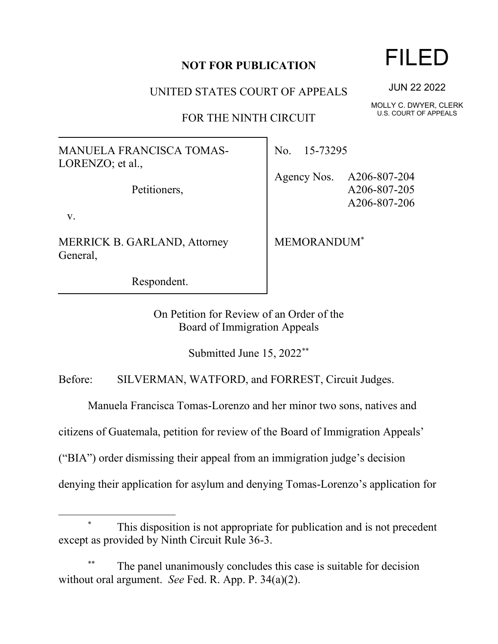## **NOT FOR PUBLICATION**

UNITED STATES COURT OF APPEALS

FOR THE NINTH CIRCUIT

MANUELA FRANCISCA TOMAS-LORENZO; et al.,

Petitioners,

v.

MERRICK B. GARLAND, Attorney General,

Respondent.

No. 15-73295

Agency Nos. A206-807-204 A206-807-205 A206-807-206

MEMORANDUM\*

On Petition for Review of an Order of the Board of Immigration Appeals

Submitted June 15, 2022\*\*

Before: SILVERMAN, WATFORD, and FORREST, Circuit Judges.

Manuela Francisca Tomas-Lorenzo and her minor two sons, natives and

citizens of Guatemala, petition for review of the Board of Immigration Appeals'

("BIA") order dismissing their appeal from an immigration judge's decision

denying their application for asylum and denying Tomas-Lorenzo's application for

## FILED

JUN 22 2022

MOLLY C. DWYER, CLERK U.S. COURT OF APPEALS

This disposition is not appropriate for publication and is not precedent except as provided by Ninth Circuit Rule 36-3.

The panel unanimously concludes this case is suitable for decision without oral argument. *See* Fed. R. App. P. 34(a)(2).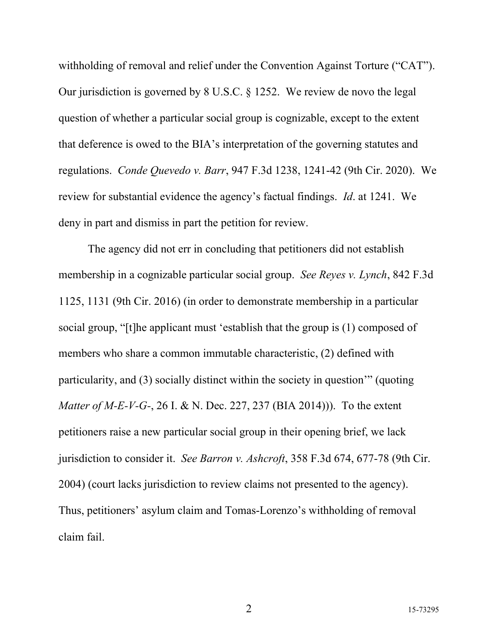withholding of removal and relief under the Convention Against Torture ("CAT"). Our jurisdiction is governed by 8 U.S.C. § 1252. We review de novo the legal question of whether a particular social group is cognizable, except to the extent that deference is owed to the BIA's interpretation of the governing statutes and regulations. *Conde Quevedo v. Barr*, 947 F.3d 1238, 1241-42 (9th Cir. 2020). We review for substantial evidence the agency's factual findings. *Id*. at 1241. We deny in part and dismiss in part the petition for review.

The agency did not err in concluding that petitioners did not establish membership in a cognizable particular social group. *See Reyes v. Lynch*, 842 F.3d 1125, 1131 (9th Cir. 2016) (in order to demonstrate membership in a particular social group, "[t]he applicant must 'establish that the group is (1) composed of members who share a common immutable characteristic, (2) defined with particularity, and (3) socially distinct within the society in question'" (quoting *Matter of M-E-V-G-*, 26 I. & N. Dec. 227, 237 (BIA 2014))). To the extent petitioners raise a new particular social group in their opening brief, we lack jurisdiction to consider it. *See Barron v. Ashcroft*, 358 F.3d 674, 677-78 (9th Cir. 2004) (court lacks jurisdiction to review claims not presented to the agency). Thus, petitioners' asylum claim and Tomas-Lorenzo's withholding of removal claim fail.